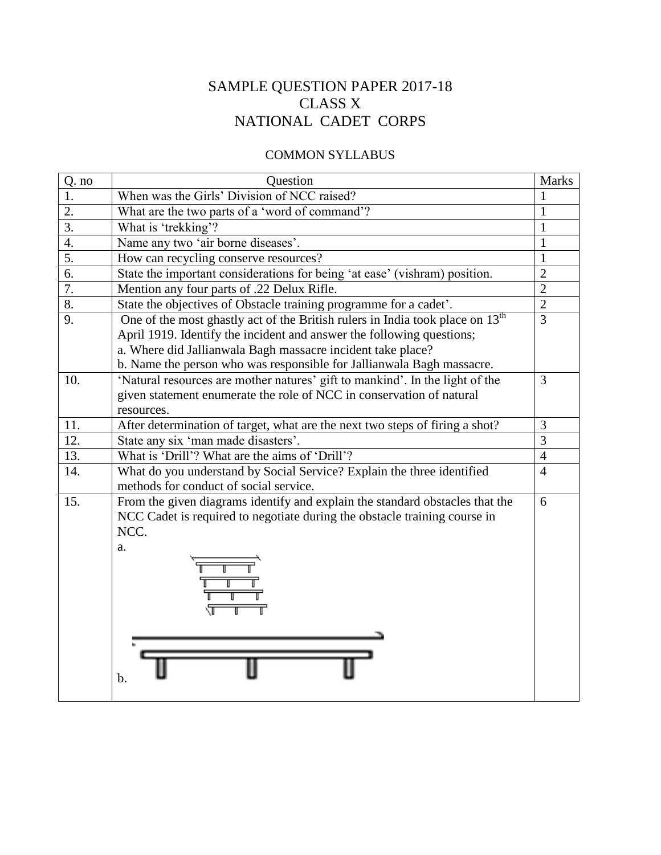# SAMPLE QUESTION PAPER 2017-18 CLASS X NATIONAL CADET CORPS

#### COMMON SYLLABUS

| Q. no            | Question                                                                                  | <b>Marks</b>   |
|------------------|-------------------------------------------------------------------------------------------|----------------|
| 1.               | When was the Girls' Division of NCC raised?                                               |                |
| $\overline{2}$ . | What are the two parts of a 'word of command'?                                            | 1              |
| 3.               | What is 'trekking'?                                                                       | $\mathbf{1}$   |
| $\overline{4}$ . | Name any two 'air borne diseases'.                                                        | $\mathbf{1}$   |
| 5.               | How can recycling conserve resources?                                                     | $\mathbf{1}$   |
| 6.               | State the important considerations for being 'at ease' (vishram) position.                | $\overline{2}$ |
| 7.               | Mention any four parts of .22 Delux Rifle.                                                | $\overline{2}$ |
| 8.               | State the objectives of Obstacle training programme for a cadet'.                         | $\overline{2}$ |
| 9.               | One of the most ghastly act of the British rulers in India took place on 13 <sup>th</sup> | $\overline{3}$ |
|                  | April 1919. Identify the incident and answer the following questions;                     |                |
|                  | a. Where did Jallianwala Bagh massacre incident take place?                               |                |
|                  | b. Name the person who was responsible for Jallianwala Bagh massacre.                     |                |
| 10.              | 'Natural resources are mother natures' gift to mankind'. In the light of the              | 3              |
|                  | given statement enumerate the role of NCC in conservation of natural                      |                |
|                  | resources.                                                                                |                |
| 11.              | After determination of target, what are the next two steps of firing a shot?              | 3              |
| 12.              | State any six 'man made disasters'.                                                       | 3              |
| 13.              | What is 'Drill'? What are the aims of 'Drill'?                                            | $\overline{4}$ |
| 14.              | What do you understand by Social Service? Explain the three identified                    | $\overline{4}$ |
|                  | methods for conduct of social service.                                                    |                |
| 15.              | From the given diagrams identify and explain the standard obstacles that the              | 6              |
|                  | NCC Cadet is required to negotiate during the obstacle training course in                 |                |
|                  | NCC.                                                                                      |                |
|                  | a.                                                                                        |                |
|                  |                                                                                           |                |
|                  |                                                                                           |                |
|                  |                                                                                           |                |
|                  |                                                                                           |                |
|                  |                                                                                           |                |
|                  |                                                                                           |                |
|                  |                                                                                           |                |
|                  |                                                                                           |                |
|                  | b.                                                                                        |                |
|                  |                                                                                           |                |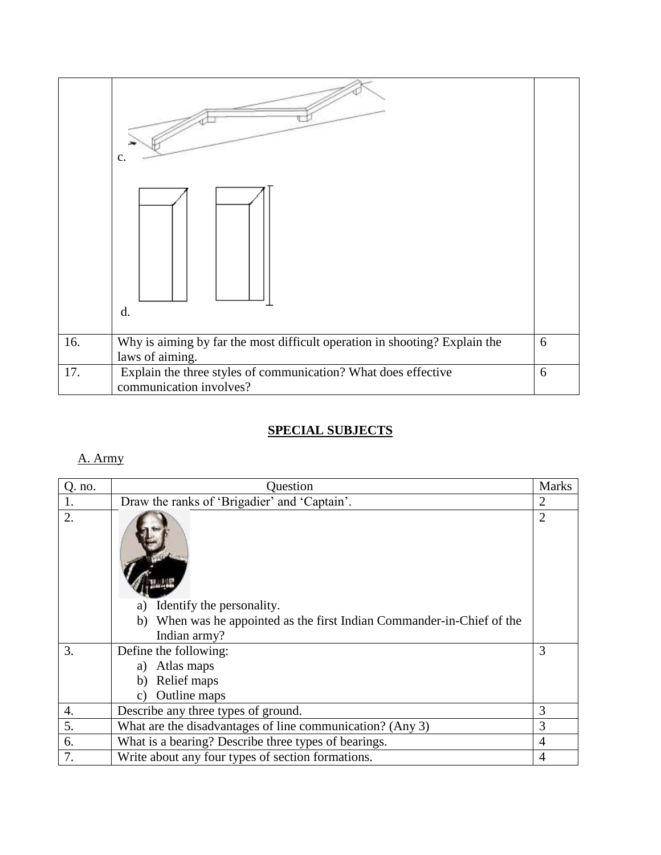|     | C.<br>d.                                                                                      |   |
|-----|-----------------------------------------------------------------------------------------------|---|
| 16. | Why is aiming by far the most difficult operation in shooting? Explain the<br>laws of aiming. | 6 |
| 17. | Explain the three styles of communication? What does effective<br>communication involves?     | 6 |

### **SPECIAL SUBJECTS**

#### A. Army

| $Q.$ no.         | Question                                                                  | <b>Marks</b>   |
|------------------|---------------------------------------------------------------------------|----------------|
| 1.               | Draw the ranks of 'Brigadier' and 'Captain'.                              | $\overline{2}$ |
| 2.               |                                                                           | $\overline{2}$ |
|                  | Identify the personality.<br>a)                                           |                |
|                  | When was he appointed as the first Indian Commander-in-Chief of the<br>b) |                |
|                  | Indian army?                                                              |                |
| 3.               | Define the following:                                                     | 3              |
|                  | a) Atlas maps                                                             |                |
|                  | Relief maps<br>b)                                                         |                |
|                  | Outline maps<br>C)                                                        |                |
| 4.               | Describe any three types of ground.                                       | 3              |
| $\overline{5}$ . | What are the disadvantages of line communication? (Any 3)                 | 3              |
| 6.               | What is a bearing? Describe three types of bearings.                      | 4              |
| 7.               | Write about any four types of section formations.                         | 4              |